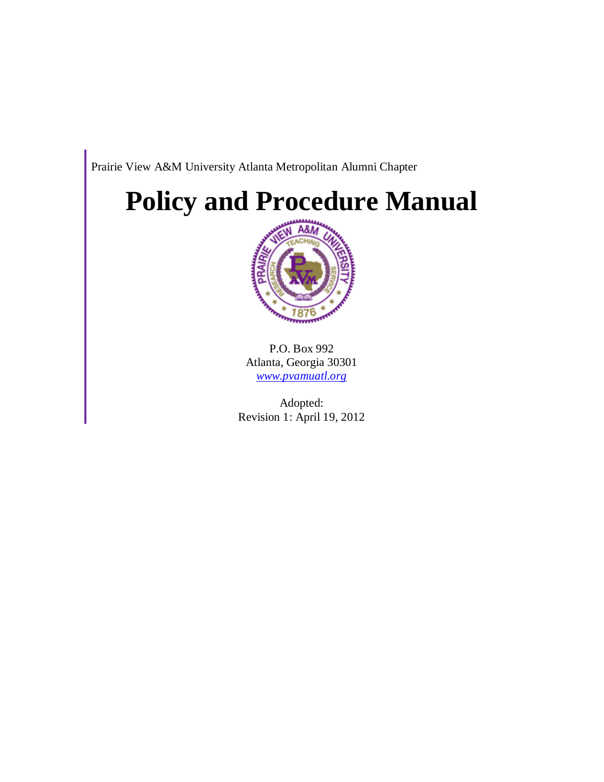Prairie View A&M University Atlanta Metropolitan Alumni Chapter

# **Policy and Procedure Manual**



P.O. Box 992 Atlanta, Georgia 30301 *[www.pvamuatl.org](http://www.pvamuatl.org/)*

Adopted: Revision 1: April 19, 2012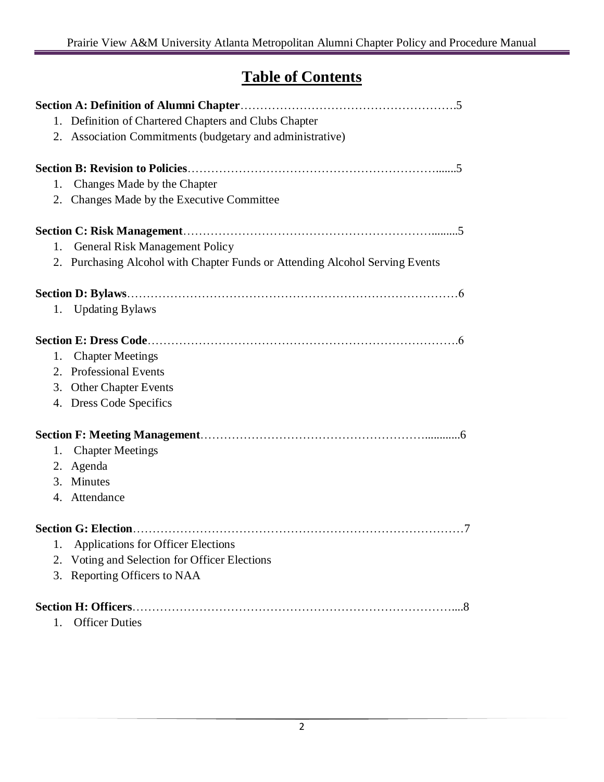# **Table of Contents**

|            | 1. Definition of Chartered Chapters and Clubs Chapter                        |
|------------|------------------------------------------------------------------------------|
|            | 2. Association Commitments (budgetary and administrative)                    |
|            |                                                                              |
| 1.         | Changes Made by the Chapter                                                  |
| 2.         | Changes Made by the Executive Committee                                      |
|            |                                                                              |
|            | 1. General Risk Management Policy                                            |
|            | 2. Purchasing Alcohol with Chapter Funds or Attending Alcohol Serving Events |
|            |                                                                              |
|            | 1. Updating Bylaws                                                           |
|            |                                                                              |
| 1.         | <b>Chapter Meetings</b>                                                      |
|            | 2. Professional Events                                                       |
|            | 3. Other Chapter Events                                                      |
|            | 4. Dress Code Specifics                                                      |
|            |                                                                              |
| 1.         | <b>Chapter Meetings</b>                                                      |
| 2. Agenda  |                                                                              |
| 3. Minutes |                                                                              |
|            | 4. Attendance                                                                |
|            |                                                                              |
| 1.         | <b>Applications for Officer Elections</b>                                    |
| 2.         | Voting and Selection for Officer Elections                                   |
| 3.         | Reporting Officers to NAA                                                    |
|            |                                                                              |
| 1.         | <b>Officer Duties</b>                                                        |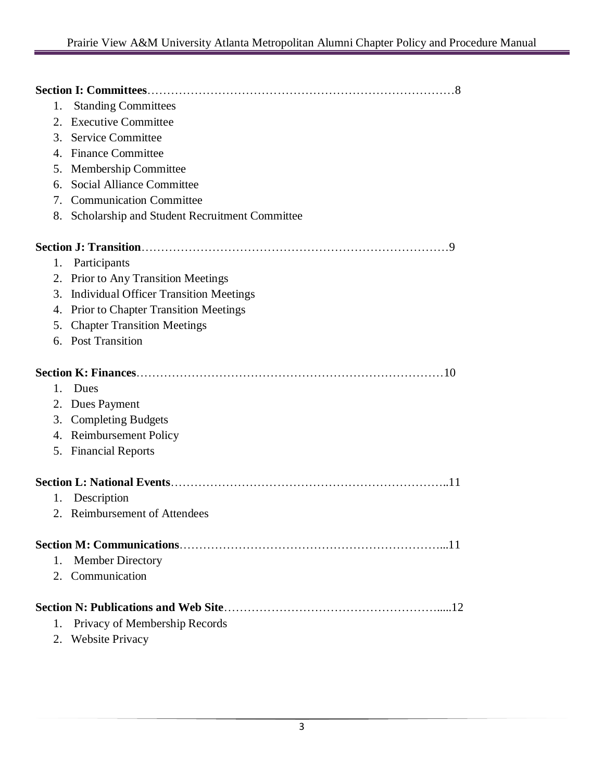|         | -8                                               |
|---------|--------------------------------------------------|
| 1.      | <b>Standing Committees</b>                       |
| 2.      | <b>Executive Committee</b>                       |
| 3.      | <b>Service Committee</b>                         |
|         | 4. Finance Committee                             |
| 5.      | Membership Committee                             |
| 6.      | Social Alliance Committee                        |
|         | 7. Communication Committee                       |
|         | 8. Scholarship and Student Recruitment Committee |
|         | -9                                               |
| 1.      | Participants                                     |
|         | 2. Prior to Any Transition Meetings              |
|         | 3. Individual Officer Transition Meetings        |
|         | 4. Prior to Chapter Transition Meetings          |
| 5.      | <b>Chapter Transition Meetings</b>               |
|         | 6. Post Transition                               |
|         |                                                  |
|         | -10                                              |
| $1_{-}$ | Dues                                             |
|         | 2. Dues Payment                                  |
|         | 3. Completing Budgets                            |
|         | 4. Reimbursement Policy                          |
|         | 5. Financial Reports                             |
|         | $-11$                                            |
| 1.      | Description                                      |
|         | 2. Reimbursement of Attendees                    |
|         | 11                                               |
| 1.      | <b>Member Directory</b>                          |
|         | 2. Communication                                 |
|         |                                                  |
| 1.      | Privacy of Membership Records                    |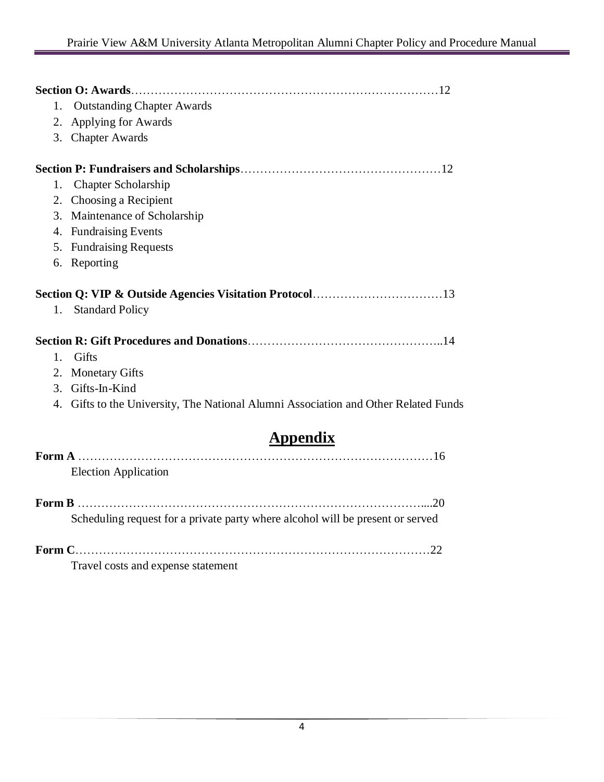| 1.       | <b>Outstanding Chapter Awards</b>                                                   |
|----------|-------------------------------------------------------------------------------------|
|          | 2. Applying for Awards                                                              |
|          | 3. Chapter Awards                                                                   |
|          |                                                                                     |
| 1.       | Chapter Scholarship                                                                 |
|          | 2. Choosing a Recipient                                                             |
|          | 3. Maintenance of Scholarship                                                       |
|          | 4. Fundraising Events                                                               |
|          | 5. Fundraising Requests                                                             |
|          | 6. Reporting                                                                        |
|          |                                                                                     |
|          | 1. Standard Policy                                                                  |
|          |                                                                                     |
| 1. Gifts |                                                                                     |
|          | 2. Monetary Gifts                                                                   |
|          | 3. Gifts-In-Kind                                                                    |
|          | 4. Gifts to the University, The National Alumni Association and Other Related Funds |
|          | <b>Appendix</b>                                                                     |
|          |                                                                                     |
|          | <b>Election Application</b>                                                         |
|          | Scheduling request for a private party where alcohol will be present or served      |
|          |                                                                                     |

| Travel costs and expense statement |  |
|------------------------------------|--|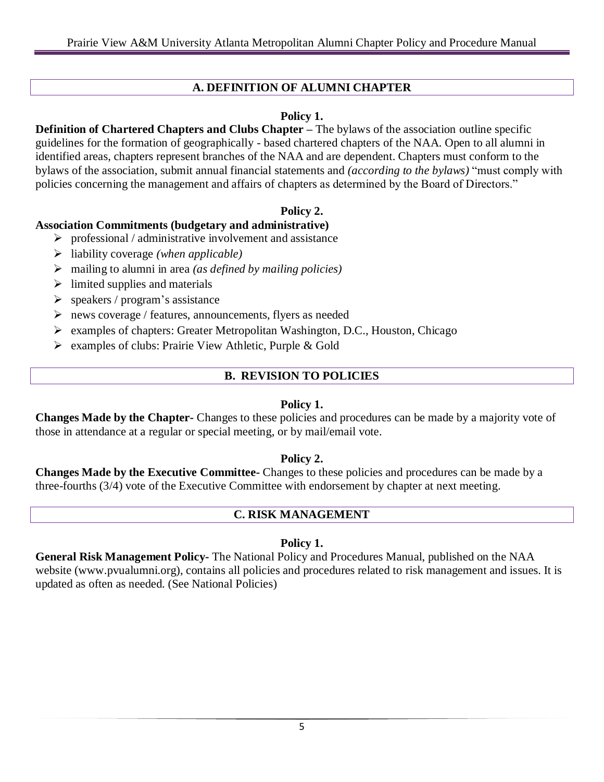## **A. DEFINITION OF ALUMNI CHAPTER**

#### **Policy 1.**

**Definition of Chartered Chapters and Clubs Chapter –** The bylaws of the association outline specific guidelines for the formation of geographically - based chartered chapters of the NAA. Open to all alumni in identified areas, chapters represent branches of the NAA and are dependent. Chapters must conform to the bylaws of the association, submit annual financial statements and *(according to the bylaws)* "must comply with policies concerning the management and affairs of chapters as determined by the Board of Directors."

## **Policy 2.**

#### **Association Commitments (budgetary and administrative)**

- $\triangleright$  professional / administrative involvement and assistance
- liability coverage *(when applicable)*
- mailing to alumni in area *(as defined by mailing policies)*
- $\triangleright$  limited supplies and materials
- $\triangleright$  speakers / program's assistance
- news coverage / features, announcements, flyers as needed
- examples of chapters: Greater Metropolitan Washington, D.C., Houston, Chicago
- examples of clubs: Prairie View Athletic, Purple & Gold

## **B. REVISION TO POLICIES**

#### **Policy 1.**

**Changes Made by the Chapter-** Changes to these policies and procedures can be made by a majority vote of those in attendance at a regular or special meeting, or by mail/email vote.

## **Policy 2.**

**Changes Made by the Executive Committee-** Changes to these policies and procedures can be made by a three-fourths (3/4) vote of the Executive Committee with endorsement by chapter at next meeting.

#### **C. RISK MANAGEMENT**

## **Policy 1.**

**General Risk Management Policy-** The National Policy and Procedures Manual, published on the NAA website (www.pvualumni.org), contains all policies and procedures related to risk management and issues. It is updated as often as needed. (See National Policies)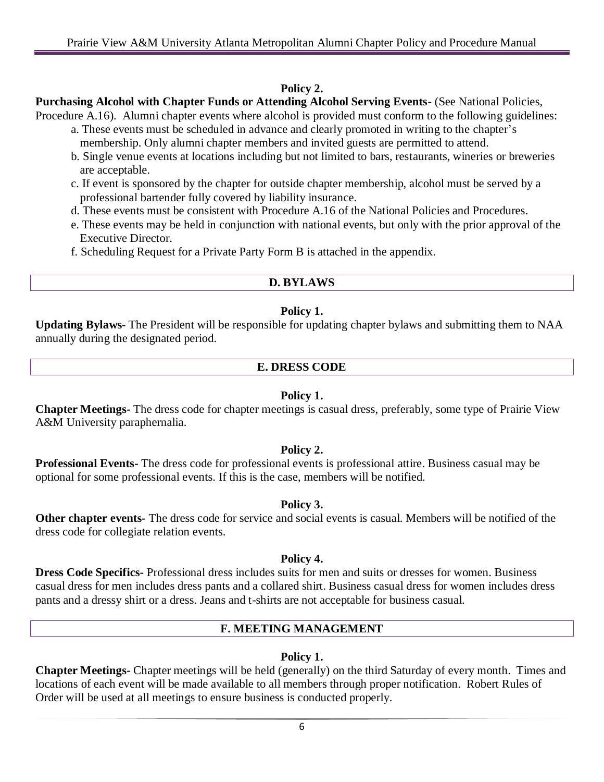## **Purchasing Alcohol with Chapter Funds or Attending Alcohol Serving Events-** (See National Policies,

Procedure A.16). Alumni chapter events where alcohol is provided must conform to the following guidelines:

- a. These events must be scheduled in advance and clearly promoted in writing to the chapter's membership. Only alumni chapter members and invited guests are permitted to attend.
- b. Single venue events at locations including but not limited to bars, restaurants, wineries or breweries are acceptable.
- c. If event is sponsored by the chapter for outside chapter membership, alcohol must be served by a professional bartender fully covered by liability insurance.
- d. These events must be consistent with Procedure A.16 of the National Policies and Procedures.
- e. These events may be held in conjunction with national events, but only with the prior approval of the Executive Director.
- f. Scheduling Request for a Private Party Form B is attached in the appendix.

## **D. BYLAWS**

#### **Policy 1.**

**Updating Bylaws-** The President will be responsible for updating chapter bylaws and submitting them to NAA annually during the designated period.

## **E. DRESS CODE**

## **Policy 1.**

**Chapter Meetings-** The dress code for chapter meetings is casual dress, preferably, some type of Prairie View A&M University paraphernalia.

#### **Policy 2.**

**Professional Events-** The dress code for professional events is professional attire. Business casual may be optional for some professional events. If this is the case, members will be notified.

#### **Policy 3.**

**Other chapter events-** The dress code for service and social events is casual. Members will be notified of the dress code for collegiate relation events.

#### **Policy 4.**

**Dress Code Specifics-** Professional dress includes suits for men and suits or dresses for women. Business casual dress for men includes dress pants and a collared shirt. Business casual dress for women includes dress pants and a dressy shirt or a dress. Jeans and t-shirts are not acceptable for business casual.

## **F. MEETING MANAGEMENT**

## **Policy 1.**

**Chapter Meetings-** Chapter meetings will be held (generally) on the third Saturday of every month. Times and locations of each event will be made available to all members through proper notification. Robert Rules of Order will be used at all meetings to ensure business is conducted properly.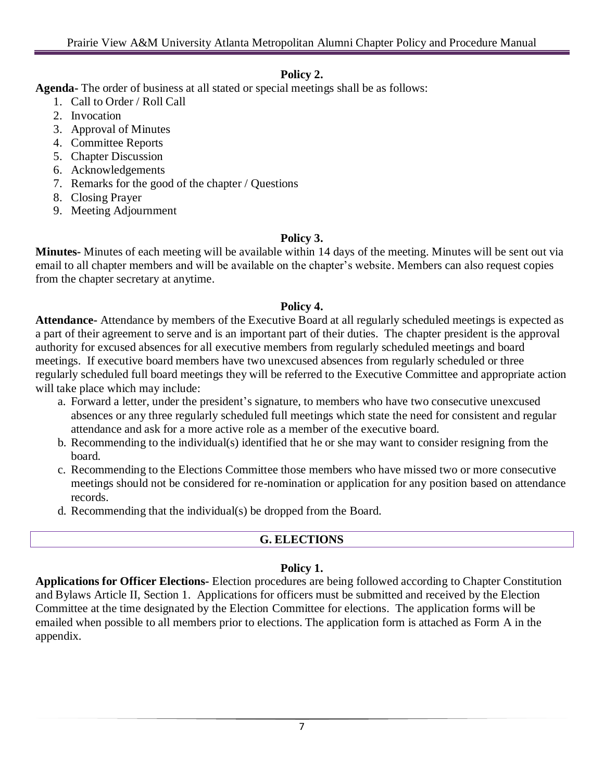**Agenda-** The order of business at all stated or special meetings shall be as follows:

- 1. Call to Order / Roll Call
- 2. Invocation
- 3. Approval of Minutes
- 4. Committee Reports
- 5. Chapter Discussion
- 6. Acknowledgements
- 7. Remarks for the good of the chapter / Questions
- 8. Closing Prayer
- 9. Meeting Adjournment

#### **Policy 3.**

**Minutes-** Minutes of each meeting will be available within 14 days of the meeting. Minutes will be sent out via email to all chapter members and will be available on the chapter's website. Members can also request copies from the chapter secretary at anytime.

#### **Policy 4.**

**Attendance-** Attendance by members of the Executive Board at all regularly scheduled meetings is expected as a part of their agreement to serve and is an important part of their duties. The chapter president is the approval authority for excused absences for all executive members from regularly scheduled meetings and board meetings. If executive board members have two unexcused absences from regularly scheduled or three regularly scheduled full board meetings they will be referred to the Executive Committee and appropriate action will take place which may include:

- a. Forward a letter, under the president's signature, to members who have two consecutive unexcused absences or any three regularly scheduled full meetings which state the need for consistent and regular attendance and ask for a more active role as a member of the executive board.
- b. Recommending to the individual(s) identified that he or she may want to consider resigning from the board.
- c. Recommending to the Elections Committee those members who have missed two or more consecutive meetings should not be considered for re-nomination or application for any position based on attendance records.
- d. Recommending that the individual(s) be dropped from the Board.

#### **G. ELECTIONS**

#### **Policy 1.**

**Applications for Officer Elections-** Election procedures are being followed according to Chapter Constitution and Bylaws Article II, Section 1. Applications for officers must be submitted and received by the Election Committee at the time designated by the Election Committee for elections. The application forms will be emailed when possible to all members prior to elections. The application form is attached as Form A in the appendix.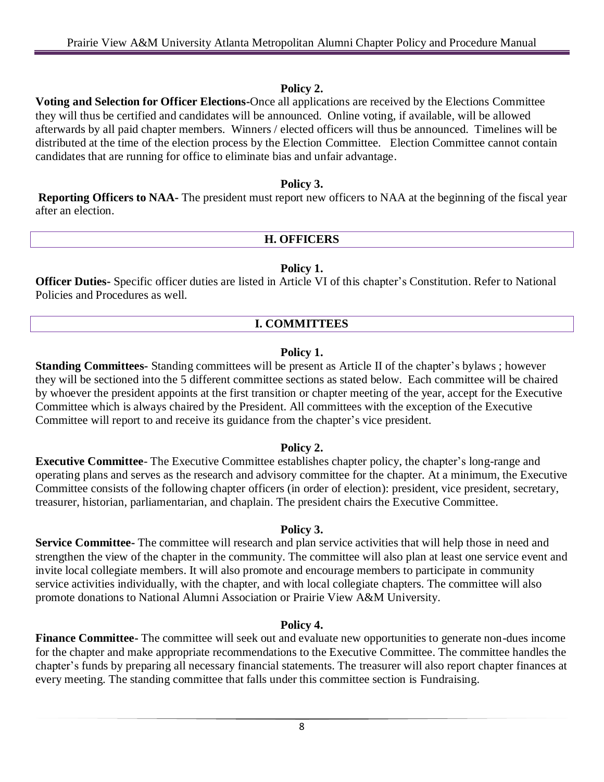**Voting and Selection for Officer Elections-**Once all applications are received by the Elections Committee they will thus be certified and candidates will be announced. Online voting, if available, will be allowed afterwards by all paid chapter members. Winners / elected officers will thus be announced. Timelines will be distributed at the time of the election process by the Election Committee. Election Committee cannot contain candidates that are running for office to eliminate bias and unfair advantage.

#### **Policy 3.**

**Reporting Officers to NAA-** The president must report new officers to NAA at the beginning of the fiscal year after an election.

#### **H. OFFICERS**

#### **Policy 1.**

**Officer Duties-** Specific officer duties are listed in Article VI of this chapter's Constitution. Refer to National Policies and Procedures as well.

#### **I. COMMITTEES**

#### **Policy 1.**

**Standing Committees-** Standing committees will be present as Article II of the chapter's bylaws ; however they will be sectioned into the 5 different committee sections as stated below. Each committee will be chaired by whoever the president appoints at the first transition or chapter meeting of the year, accept for the Executive Committee which is always chaired by the President. All committees with the exception of the Executive Committee will report to and receive its guidance from the chapter's vice president.

#### **Policy 2.**

**Executive Committee**- The Executive Committee establishes chapter policy, the chapter's long-range and operating plans and serves as the research and advisory committee for the chapter. At a minimum, the Executive Committee consists of the following chapter officers (in order of election): president, vice president, secretary, treasurer, historian, parliamentarian, and chaplain. The president chairs the Executive Committee.

#### **Policy 3.**

**Service Committee-** The committee will research and plan service activities that will help those in need and strengthen the view of the chapter in the community. The committee will also plan at least one service event and invite local collegiate members. It will also promote and encourage members to participate in community service activities individually, with the chapter, and with local collegiate chapters. The committee will also promote donations to National Alumni Association or Prairie View A&M University.

#### **Policy 4.**

**Finance Committee-** The committee will seek out and evaluate new opportunities to generate non-dues income for the chapter and make appropriate recommendations to the Executive Committee. The committee handles the chapter's funds by preparing all necessary financial statements. The treasurer will also report chapter finances at every meeting. The standing committee that falls under this committee section is Fundraising.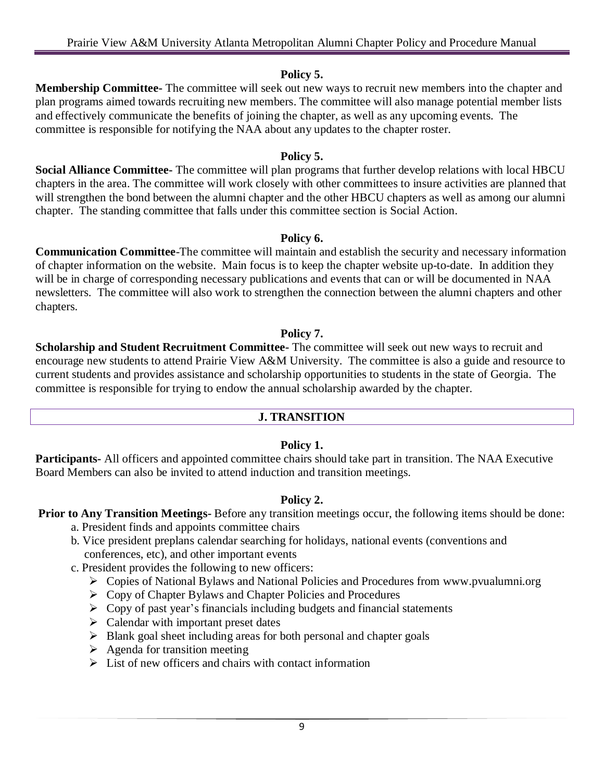#### **Policy 5.**

**Membership Committee-** The committee will seek out new ways to recruit new members into the chapter and plan programs aimed towards recruiting new members. The committee will also manage potential member lists and effectively communicate the benefits of joining the chapter, as well as any upcoming events. The committee is responsible for notifying the NAA about any updates to the chapter roster.

#### **Policy 5.**

**Social Alliance Committee-** The committee will plan programs that further develop relations with local HBCU chapters in the area. The committee will work closely with other committees to insure activities are planned that will strengthen the bond between the alumni chapter and the other HBCU chapters as well as among our alumni chapter. The standing committee that falls under this committee section is Social Action.

#### **Policy 6.**

**Communication Committee**-The committee will maintain and establish the security and necessary information of chapter information on the website. Main focus is to keep the chapter website up-to-date. In addition they will be in charge of corresponding necessary publications and events that can or will be documented in NAA newsletters. The committee will also work to strengthen the connection between the alumni chapters and other chapters.

#### **Policy 7.**

**Scholarship and Student Recruitment Committee-** The committee will seek out new ways to recruit and encourage new students to attend Prairie View A&M University. The committee is also a guide and resource to current students and provides assistance and scholarship opportunities to students in the state of Georgia. The committee is responsible for trying to endow the annual scholarship awarded by the chapter.

#### **J. TRANSITION**

#### **Policy 1.**

**Participants-** All officers and appointed committee chairs should take part in transition. The NAA Executive Board Members can also be invited to attend induction and transition meetings.

#### **Policy 2.**

**Prior to Any Transition Meetings-** Before any transition meetings occur, the following items should be done:

- a. President finds and appoints committee chairs
- b. Vice president preplans calendar searching for holidays, national events (conventions and conferences, etc), and other important events
- c. President provides the following to new officers:
	- Copies of National Bylaws and National Policies and Procedures from www.pvualumni.org
	- $\triangleright$  Copy of Chapter Bylaws and Chapter Policies and Procedures
	- $\triangleright$  Copy of past year's financials including budgets and financial statements
	- $\triangleright$  Calendar with important preset dates
	- $\triangleright$  Blank goal sheet including areas for both personal and chapter goals
	- $\triangleright$  Agenda for transition meeting
	- $\triangleright$  List of new officers and chairs with contact information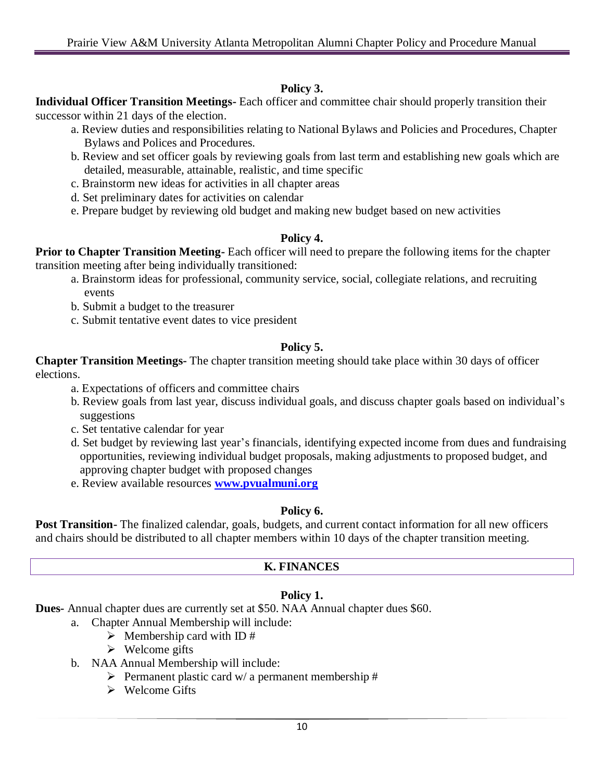#### **Policy 3.**

**Individual Officer Transition Meetings-** Each officer and committee chair should properly transition their successor within 21 days of the election.

- a. Review duties and responsibilities relating to National Bylaws and Policies and Procedures, Chapter Bylaws and Polices and Procedures.
- b. Review and set officer goals by reviewing goals from last term and establishing new goals which are detailed, measurable, attainable, realistic, and time specific
- c. Brainstorm new ideas for activities in all chapter areas
- d. Set preliminary dates for activities on calendar
- e. Prepare budget by reviewing old budget and making new budget based on new activities

#### **Policy 4.**

**Prior to Chapter Transition Meeting-** Each officer will need to prepare the following items for the chapter transition meeting after being individually transitioned:

- a. Brainstorm ideas for professional, community service, social, collegiate relations, and recruiting events
- b. Submit a budget to the treasurer
- c. Submit tentative event dates to vice president

#### **Policy 5.**

**Chapter Transition Meetings-** The chapter transition meeting should take place within 30 days of officer elections.

- a. Expectations of officers and committee chairs
- b. Review goals from last year, discuss individual goals, and discuss chapter goals based on individual's suggestions
- c. Set tentative calendar for year
- d. Set budget by reviewing last year's financials, identifying expected income from dues and fundraising opportunities, reviewing individual budget proposals, making adjustments to proposed budget, and approving chapter budget with proposed changes
- e. Review available resources **[www.pvualmuni.org](http://www.pvualmuni.org/)**

#### **Policy 6.**

**Post Transition-** The finalized calendar, goals, budgets, and current contact information for all new officers and chairs should be distributed to all chapter members within 10 days of the chapter transition meeting.

#### **K. FINANCES**

#### **Policy 1.**

**Dues-** Annual chapter dues are currently set at \$50. NAA Annual chapter dues \$60.

- a. Chapter Annual Membership will include:
	- $\triangleright$  Membership card with ID #
	- $\triangleright$  Welcome gifts
- b. NAA Annual Membership will include:
	- Permanent plastic card w/ a permanent membership  $#$
	- Welcome Gifts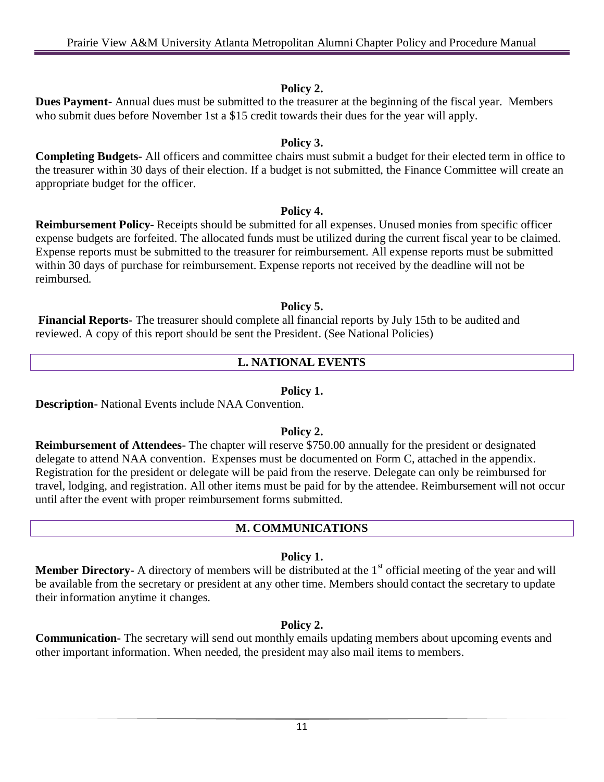**Dues Payment-** Annual dues must be submitted to the treasurer at the beginning of the fiscal year. Members who submit dues before November 1st a \$15 credit towards their dues for the year will apply.

#### **Policy 3.**

**Completing Budgets-** All officers and committee chairs must submit a budget for their elected term in office to the treasurer within 30 days of their election. If a budget is not submitted, the Finance Committee will create an appropriate budget for the officer.

#### **Policy 4.**

**Reimbursement Policy-** Receipts should be submitted for all expenses. Unused monies from specific officer expense budgets are forfeited. The allocated funds must be utilized during the current fiscal year to be claimed. Expense reports must be submitted to the treasurer for reimbursement. All expense reports must be submitted within 30 days of purchase for reimbursement. Expense reports not received by the deadline will not be reimbursed.

#### **Policy 5.**

**Financial Reports-** The treasurer should complete all financial reports by July 15th to be audited and reviewed. A copy of this report should be sent the President. (See National Policies)

#### **L. NATIONAL EVENTS**

#### **Policy 1.**

**Description-** National Events include NAA Convention.

#### **Policy 2.**

**Reimbursement of Attendees-** The chapter will reserve \$750.00 annually for the president or designated delegate to attend NAA convention. Expenses must be documented on Form C, attached in the appendix. Registration for the president or delegate will be paid from the reserve. Delegate can only be reimbursed for travel, lodging, and registration. All other items must be paid for by the attendee. Reimbursement will not occur until after the event with proper reimbursement forms submitted.

#### **M. COMMUNICATIONS**

#### **Policy 1.**

**Member Directory-** A directory of members will be distributed at the 1<sup>st</sup> official meeting of the year and will be available from the secretary or president at any other time. Members should contact the secretary to update their information anytime it changes.

#### **Policy 2.**

**Communication-** The secretary will send out monthly emails updating members about upcoming events and other important information. When needed, the president may also mail items to members.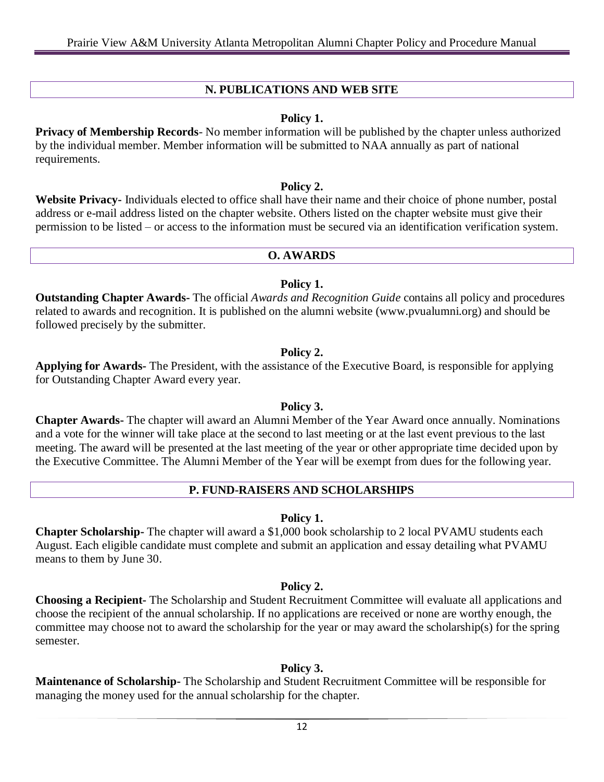#### **N. PUBLICATIONS AND WEB SITE**

#### **Policy 1.**

**Privacy of Membership Records**- No member information will be published by the chapter unless authorized by the individual member. Member information will be submitted to NAA annually as part of national requirements.

#### **Policy 2.**

**Website Privacy-** Individuals elected to office shall have their name and their choice of phone number, postal address or e-mail address listed on the chapter website. Others listed on the chapter website must give their permission to be listed – or access to the information must be secured via an identification verification system.

#### **O. AWARDS**

#### **Policy 1.**

**Outstanding Chapter Awards-** The official *Awards and Recognition Guide* contains all policy and procedures related to awards and recognition. It is published on the alumni website (www.pvualumni.org) and should be followed precisely by the submitter.

#### **Policy 2.**

**Applying for Awards-** The President, with the assistance of the Executive Board, is responsible for applying for Outstanding Chapter Award every year.

#### **Policy 3.**

**Chapter Awards-** The chapter will award an Alumni Member of the Year Award once annually. Nominations and a vote for the winner will take place at the second to last meeting or at the last event previous to the last meeting. The award will be presented at the last meeting of the year or other appropriate time decided upon by the Executive Committee. The Alumni Member of the Year will be exempt from dues for the following year.

#### **P. FUND-RAISERS AND SCHOLARSHIPS**

#### **Policy 1.**

**Chapter Scholarship-** The chapter will award a \$1,000 book scholarship to 2 local PVAMU students each August. Each eligible candidate must complete and submit an application and essay detailing what PVAMU means to them by June 30.

#### **Policy 2.**

**Choosing a Recipient-** The Scholarship and Student Recruitment Committee will evaluate all applications and choose the recipient of the annual scholarship. If no applications are received or none are worthy enough, the committee may choose not to award the scholarship for the year or may award the scholarship(s) for the spring semester.

#### **Policy 3.**

**Maintenance of Scholarship-** The Scholarship and Student Recruitment Committee will be responsible for managing the money used for the annual scholarship for the chapter.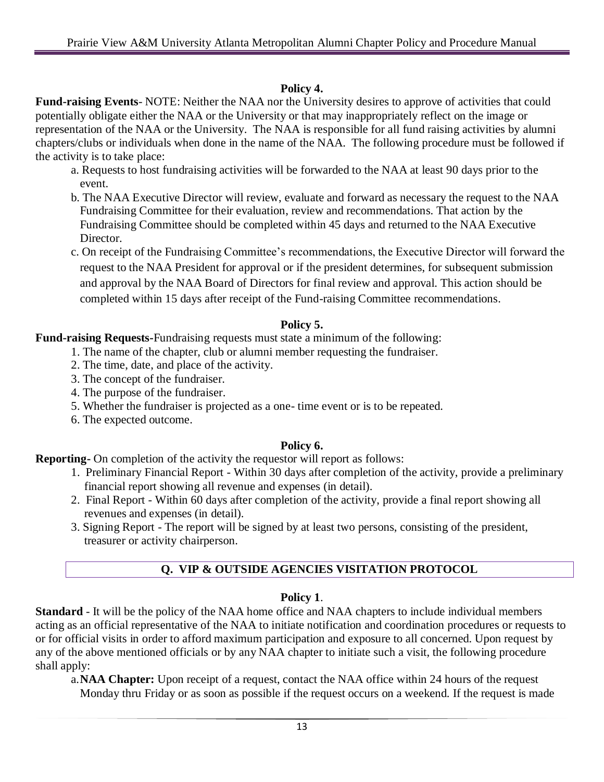#### **Policy 4.**

**Fund-raising Events**- NOTE: Neither the NAA nor the University desires to approve of activities that could potentially obligate either the NAA or the University or that may inappropriately reflect on the image or representation of the NAA or the University. The NAA is responsible for all fund raising activities by alumni chapters/clubs or individuals when done in the name of the NAA. The following procedure must be followed if the activity is to take place:

- a. Requests to host fundraising activities will be forwarded to the NAA at least 90 days prior to the event.
- b. The NAA Executive Director will review, evaluate and forward as necessary the request to the NAA Fundraising Committee for their evaluation, review and recommendations. That action by the Fundraising Committee should be completed within 45 days and returned to the NAA Executive Director.
- c. On receipt of the Fundraising Committee's recommendations, the Executive Director will forward the request to the NAA President for approval or if the president determines, for subsequent submission and approval by the NAA Board of Directors for final review and approval. This action should be completed within 15 days after receipt of the Fund-raising Committee recommendations.

## **Policy 5.**

**Fund-raising Requests-**Fundraising requests must state a minimum of the following:

1. The name of the chapter, club or alumni member requesting the fundraiser.

- 2. The time, date, and place of the activity.
- 3. The concept of the fundraiser.
- 4. The purpose of the fundraiser.
- 5. Whether the fundraiser is projected as a one- time event or is to be repeated.
- 6. The expected outcome.

#### **Policy 6.**

**Reporting-** On completion of the activity the requestor will report as follows:

- 1. Preliminary Financial Report Within 30 days after completion of the activity, provide a preliminary financial report showing all revenue and expenses (in detail).
- 2. Final Report Within 60 days after completion of the activity, provide a final report showing all revenues and expenses (in detail).
- 3. Signing Report The report will be signed by at least two persons, consisting of the president, treasurer or activity chairperson.

## **Q. VIP & OUTSIDE AGENCIES VISITATION PROTOCOL**

#### **Policy 1**.

**Standard** - It will be the policy of the NAA home office and NAA chapters to include individual members acting as an official representative of the NAA to initiate notification and coordination procedures or requests to or for official visits in order to afford maximum participation and exposure to all concerned. Upon request by any of the above mentioned officials or by any NAA chapter to initiate such a visit, the following procedure shall apply:

a.**NAA Chapter:** Upon receipt of a request, contact the NAA office within 24 hours of the request Monday thru Friday or as soon as possible if the request occurs on a weekend. If the request is made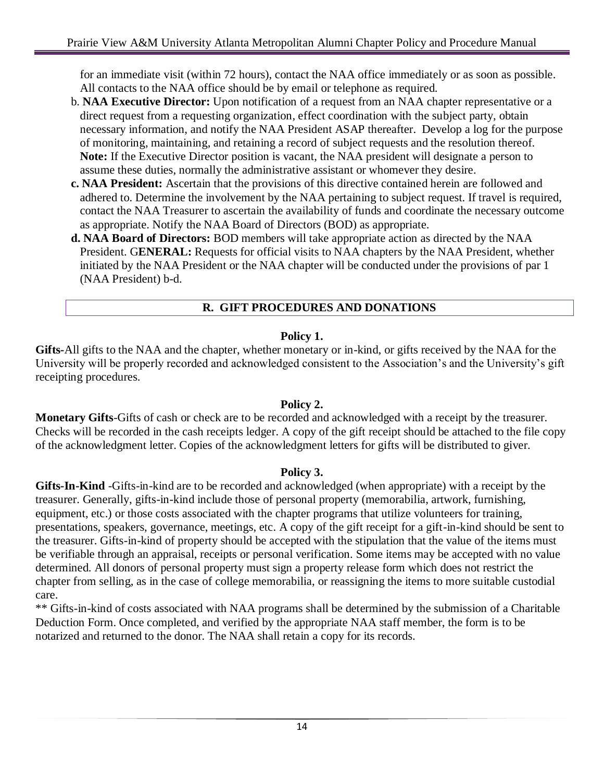for an immediate visit (within 72 hours), contact the NAA office immediately or as soon as possible. All contacts to the NAA office should be by email or telephone as required.

- b. **NAA Executive Director:** Upon notification of a request from an NAA chapter representative or a direct request from a requesting organization, effect coordination with the subject party, obtain necessary information, and notify the NAA President ASAP thereafter. Develop a log for the purpose of monitoring, maintaining, and retaining a record of subject requests and the resolution thereof. **Note:** If the Executive Director position is vacant, the NAA president will designate a person to assume these duties, normally the administrative assistant or whomever they desire.
- **c. NAA President:** Ascertain that the provisions of this directive contained herein are followed and adhered to. Determine the involvement by the NAA pertaining to subject request. If travel is required, contact the NAA Treasurer to ascertain the availability of funds and coordinate the necessary outcome as appropriate. Notify the NAA Board of Directors (BOD) as appropriate.
- **d. NAA Board of Directors:** BOD members will take appropriate action as directed by the NAA President. G**ENERAL:** Requests for official visits to NAA chapters by the NAA President, whether initiated by the NAA President or the NAA chapter will be conducted under the provisions of par 1 (NAA President) b-d.

## **R. GIFT PROCEDURES AND DONATIONS**

#### **Policy 1.**

**Gifts-**All gifts to the NAA and the chapter, whether monetary or in-kind, or gifts received by the NAA for the University will be properly recorded and acknowledged consistent to the Association's and the University's gift receipting procedures.

#### **Policy 2.**

**Monetary Gifts**-Gifts of cash or check are to be recorded and acknowledged with a receipt by the treasurer. Checks will be recorded in the cash receipts ledger. A copy of the gift receipt should be attached to the file copy of the acknowledgment letter. Copies of the acknowledgment letters for gifts will be distributed to giver.

#### **Policy 3.**

**Gifts-In-Kind** -Gifts-in-kind are to be recorded and acknowledged (when appropriate) with a receipt by the treasurer. Generally, gifts-in-kind include those of personal property (memorabilia, artwork, furnishing, equipment, etc.) or those costs associated with the chapter programs that utilize volunteers for training, presentations, speakers, governance, meetings, etc. A copy of the gift receipt for a gift-in-kind should be sent to the treasurer. Gifts-in-kind of property should be accepted with the stipulation that the value of the items must be verifiable through an appraisal, receipts or personal verification. Some items may be accepted with no value determined. All donors of personal property must sign a property release form which does not restrict the chapter from selling, as in the case of college memorabilia, or reassigning the items to more suitable custodial care.

\*\* Gifts-in-kind of costs associated with NAA programs shall be determined by the submission of a Charitable Deduction Form. Once completed, and verified by the appropriate NAA staff member, the form is to be notarized and returned to the donor. The NAA shall retain a copy for its records.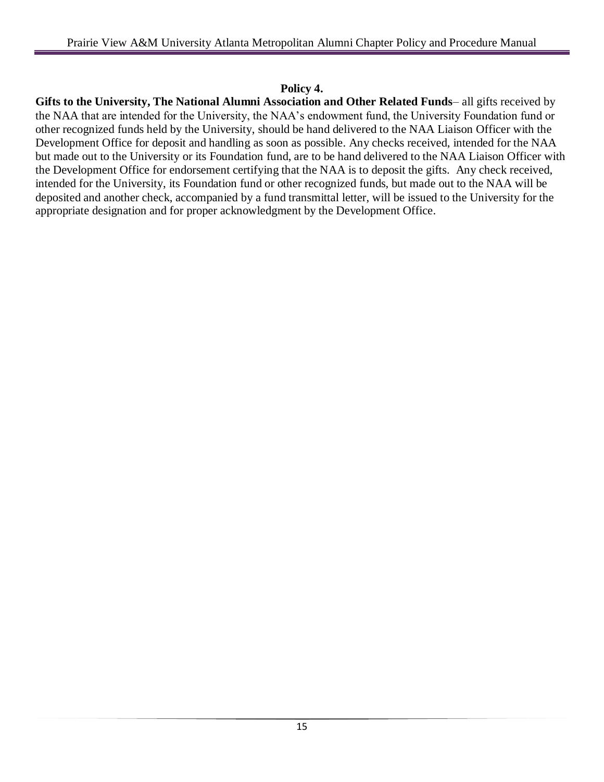#### **Policy 4.**

**Gifts to the University, The National Alumni Association and Other Related Funds**– all gifts received by the NAA that are intended for the University, the NAA's endowment fund, the University Foundation fund or other recognized funds held by the University, should be hand delivered to the NAA Liaison Officer with the Development Office for deposit and handling as soon as possible. Any checks received, intended for the NAA but made out to the University or its Foundation fund, are to be hand delivered to the NAA Liaison Officer with the Development Office for endorsement certifying that the NAA is to deposit the gifts. Any check received, intended for the University, its Foundation fund or other recognized funds, but made out to the NAA will be deposited and another check, accompanied by a fund transmittal letter, will be issued to the University for the appropriate designation and for proper acknowledgment by the Development Office.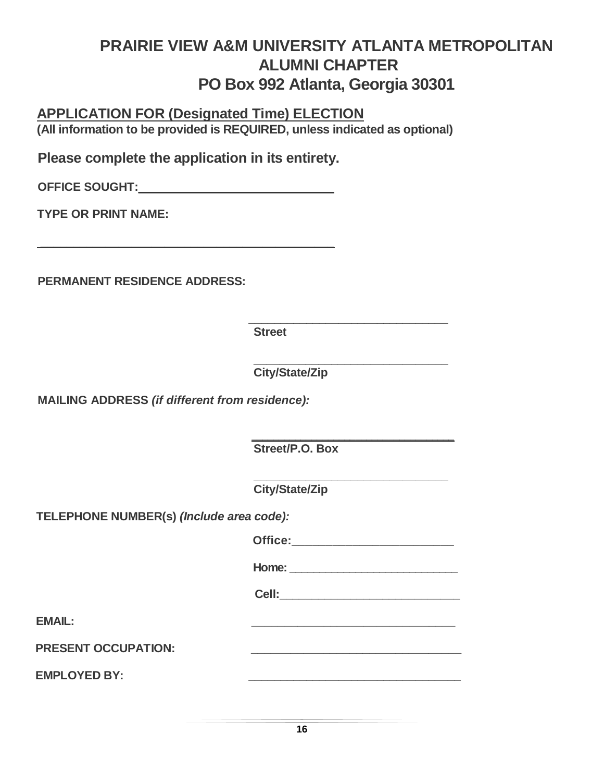## **PRAIRIE VIEW A&M UNIVERSITY ATLANTA METROPOLITAN ALUMNI CHAPTER PO Box 992 Atlanta, Georgia 30301**

### **APPLICATION FOR (Designated Time) ELECTION (All information to be provided is REQUIRED, unless indicated as optional)**

**Please complete the application in its entirety.**

**OFFICE SOUGHT:** 

**\_\_\_\_\_\_\_\_\_\_\_\_\_\_\_\_\_\_\_\_\_\_\_\_\_\_\_\_\_\_\_\_\_\_\_\_\_\_\_\_\_\_\_\_\_** 

**TYPE OR PRINT NAME:**

**PERMANENT RESIDENCE ADDRESS:**

**\_\_\_\_\_\_\_\_\_\_\_\_\_\_\_\_\_\_\_\_\_\_\_\_\_\_\_\_\_\_\_ Street**

**\_\_\_\_\_\_\_\_\_\_\_\_\_\_\_\_\_\_\_\_\_\_\_\_\_\_\_\_\_\_ City/State/Zip** 

**MAILING ADDRESS** *(if different from residence):*

 **\_\_\_\_\_\_\_\_\_\_\_\_\_\_\_\_\_\_\_\_\_\_\_\_\_\_\_\_\_\_\_\_\_\_\_\_\_ Street/P.O. Box**

> **\_\_\_\_\_\_\_\_\_\_\_\_\_\_\_\_\_\_\_\_\_\_\_\_\_\_\_\_\_\_ City/State/Zip**

**TELEPHONE NUMBER(s)** *(Include area code):*

| Office: |
|---------|
|---------|

**Home: \_\_\_\_\_\_\_\_\_\_\_\_\_\_\_\_\_\_\_\_\_\_\_\_\_\_\_\_**

 **Cell:\_\_\_\_\_\_\_\_\_\_\_\_\_\_\_\_\_\_\_\_\_\_\_\_\_\_\_\_**

**EMAIL: \_\_\_\_\_\_\_\_\_\_\_\_\_\_\_\_\_\_\_\_\_\_\_\_\_\_\_\_\_\_\_**

**PRESENT OCCUPATION:** 

EMPLOYED BY: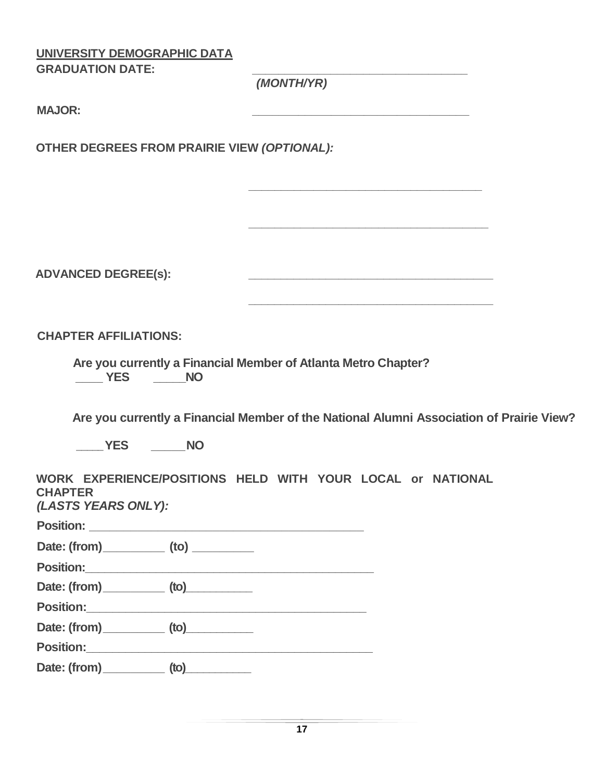**UNIVERSITY DEMOGRAPHIC DATA GRADUATION DATE:** 

*(MONTH/YR)*

**MAJOR: \_\_\_\_\_\_\_\_\_\_\_\_\_\_\_\_\_\_\_\_\_\_\_\_\_\_\_\_\_\_\_\_\_**

**OTHER DEGREES FROM PRAIRIE VIEW** *(OPTIONAL):*

**ADVANCED DEGREE(s): \_\_\_\_\_\_\_\_\_\_\_\_\_\_\_\_\_\_\_\_\_\_\_\_\_\_\_\_\_\_\_\_\_\_\_\_\_\_**

**CHAPTER AFFILIATIONS:**

**Are you currently a Financial Member of Atlanta Metro Chapter? \_\_\_\_ YES \_\_\_\_\_NO**

**Are you currently a Financial Member of the National Alumni Association of Prairie View?**

**\_\_\_\_\_\_\_\_\_\_\_\_\_\_\_\_\_\_\_\_\_\_\_\_\_\_\_\_\_\_\_\_\_\_\_\_**

**\_\_\_\_\_\_\_\_\_\_\_\_\_\_\_\_\_\_\_\_\_\_\_\_\_\_\_\_\_\_\_\_\_\_\_\_\_**

**\_\_\_\_\_\_\_\_\_\_\_\_\_\_\_\_\_\_\_\_\_\_\_\_\_\_\_\_\_\_\_\_\_\_\_\_\_\_**

**\_\_\_\_\_YES \_\_\_\_\_NO**

| WORK EXPERIENCE/POSITIONS HELD WITH YOUR LOCAL or NATIONAL<br><b>CHAPTER</b><br>(LASTS YEARS ONLY): |  |  |  |  |
|-----------------------------------------------------------------------------------------------------|--|--|--|--|
|                                                                                                     |  |  |  |  |
|                                                                                                     |  |  |  |  |
| Position:                                                                                           |  |  |  |  |
|                                                                                                     |  |  |  |  |
|                                                                                                     |  |  |  |  |
| Date: (from) (to)                                                                                   |  |  |  |  |
|                                                                                                     |  |  |  |  |
| Date: (from) ___________ (to)                                                                       |  |  |  |  |
|                                                                                                     |  |  |  |  |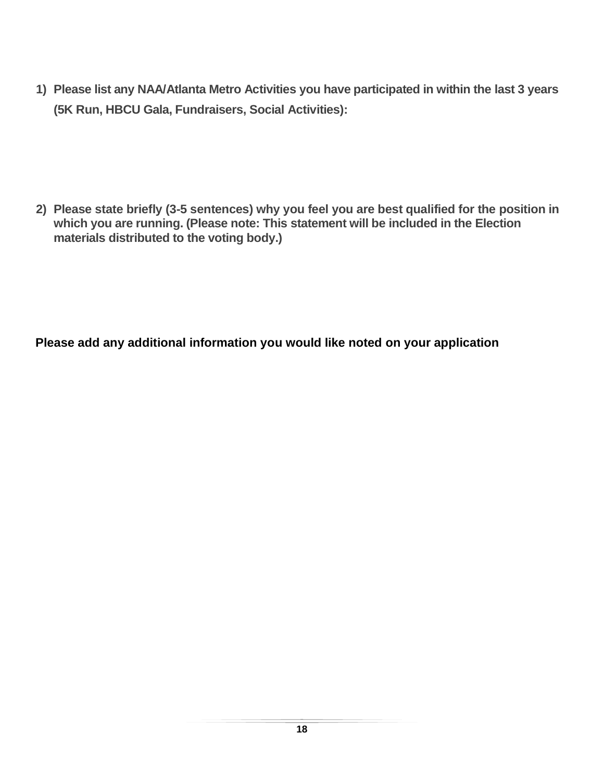**1) Please list any NAA/Atlanta Metro Activities you have participated in within the last 3 years (5K Run, HBCU Gala, Fundraisers, Social Activities):**

**2) Please state briefly (3-5 sentences) why you feel you are best qualified for the position in which you are running. (Please note: This statement will be included in the Election materials distributed to the voting body.)**

**Please add any additional information you would like noted on your application**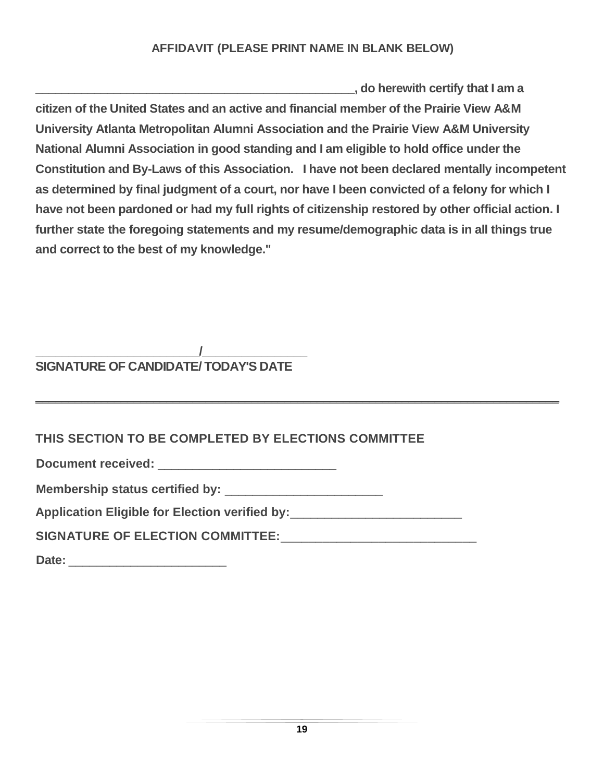#### **AFFIDAVIT (PLEASE PRINT NAME IN BLANK BELOW)**

**\_\_\_\_\_\_\_\_\_\_\_\_\_\_\_\_\_\_\_\_\_\_\_\_\_\_\_\_\_\_\_\_\_\_\_\_\_\_\_\_\_\_\_\_\_\_\_\_\_, do herewith certify that I am a citizen of the United States and an active and financial member of the Prairie View A&M University Atlanta Metropolitan Alumni Association and the Prairie View A&M University National Alumni Association in good standing and I am eligible to hold office under the Constitution and By-Laws of this Association. I have not been declared mentally incompetent as determined by final judgment of a court, nor have I been convicted of a felony for which I have not been pardoned or had my full rights of citizenship restored by other official action. I further state the foregoing statements and my resume/demographic data is in all things true and correct to the best of my knowledge."**

**\_\_\_\_\_\_\_\_\_\_\_\_\_\_\_\_\_\_\_\_\_\_\_\_\_\_\_\_\_\_\_\_\_\_\_\_\_\_\_\_\_\_\_\_\_\_\_\_\_\_\_\_\_\_\_\_\_\_\_\_\_\_\_\_\_\_\_\_\_\_\_\_\_\_\_\_\_\_\_\_**

#### **\_\_\_\_\_\_\_\_\_\_\_\_\_\_\_\_\_\_\_\_\_\_\_\_\_/\_\_\_\_\_\_\_\_\_\_\_\_\_\_\_\_ SIGNATURE OF CANDIDATE/ TODAY'S DATE**

## **THIS SECTION TO BE COMPLETED BY ELECTIONS COMMITTEE**

**Document received: Document received:** 

**Membership status certified by:** \_\_\_\_\_\_\_\_\_\_\_\_\_\_\_\_\_\_\_\_\_\_\_

| Application Eligible for Election verified by: |  |
|------------------------------------------------|--|
|------------------------------------------------|--|

**SIGNATURE OF ELECTION COMMITTEE:**\_\_\_\_\_\_\_\_\_\_\_\_\_\_\_\_\_\_\_\_\_\_\_\_\_\_\_\_

**Date:** \_\_\_\_\_\_\_\_\_\_\_\_\_\_\_\_\_\_\_\_\_\_\_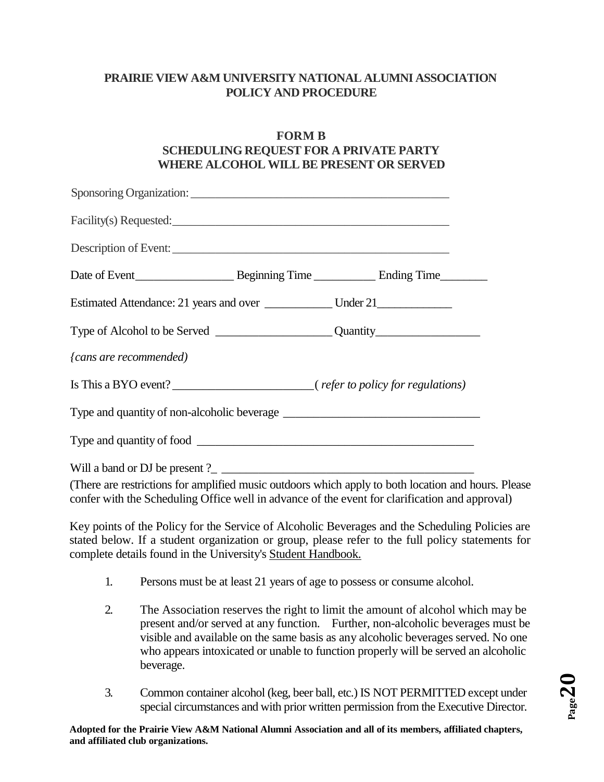#### **FORM B SCHEDULING REQUEST FOR A PRIVATE PARTY WHERE ALCOHOL WILL BE PRESENT OR SERVED**

| Sponsoring Organization: Sponsoring Organization: |  |  |  |  |
|---------------------------------------------------|--|--|--|--|
|                                                   |  |  |  |  |
| Description of Event:                             |  |  |  |  |
|                                                   |  |  |  |  |
|                                                   |  |  |  |  |
|                                                   |  |  |  |  |
| {cans are recommended}                            |  |  |  |  |
|                                                   |  |  |  |  |
|                                                   |  |  |  |  |
|                                                   |  |  |  |  |
|                                                   |  |  |  |  |

(There are restrictions for amplified music outdoors which apply to both location and hours. Please confer with the Scheduling Office well in advance of the event for clarification and approval)

Key points of the Policy for the Service of Alcoholic Beverages and the Scheduling Policies are stated below. If a student organization or group, please refer to the full policy statements for complete details found in the University's Student Handbook.

- 1. Persons must be at least 21 years of age to possess or consume alcohol.
- 2. The Association reserves the right to limit the amount of alcohol which may be present and/or served at any function. Further, non-alcoholic beverages must be visible and available on the same basis as any alcoholic beverages served. No one who appears intoxicated or unable to function properly will be served an alcoholic beverage.
- 3. Common container alcohol (keg, beer ball, etc.) IS NOT PERMITTED except under special circumstances and with prior written permission from the Executive Director.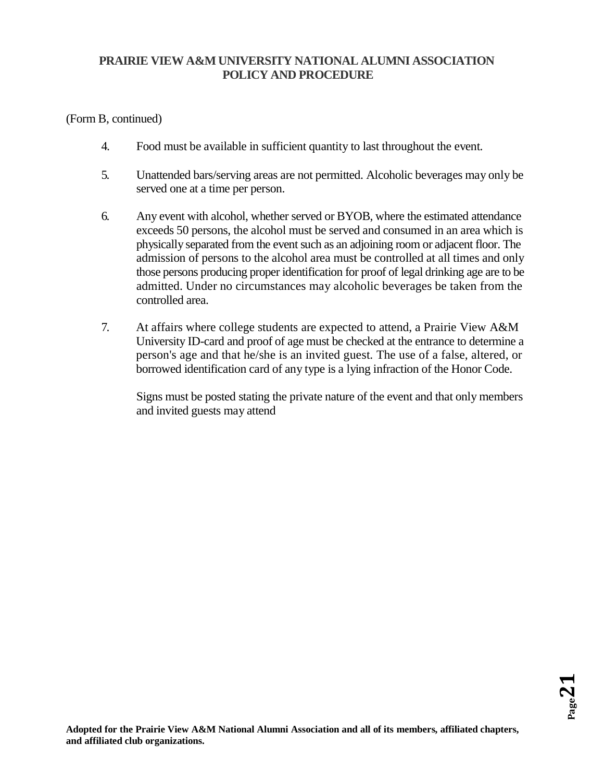#### (Form B, continued)

- 4. Food must be available in sufficient quantity to last throughout the event.
- 5. Unattended bars/serving areas are not permitted. Alcoholic beverages may only be served one at a time per person.
- 6. Any event with alcohol, whether served or BYOB, where the estimated attendance exceeds 50 persons, the alcohol must be served and consumed in an area which is physically separated from the event such as an adjoining room or adjacent floor. The admission of persons to the alcohol area must be controlled at all times and only those persons producing proper identification for proof of legal drinking age are to be admitted. Under no circumstances may alcoholic beverages be taken from the controlled area.
- 7. At affairs where college students are expected to attend, a Prairie View A&M University ID-card and proof of age must be checked at the entrance to determine a person's age and that he/she is an invited guest. The use of a false, altered, or borrowed identification card of any type is a lying infraction of the Honor Code.

Signs must be posted stating the private nature of the event and that only members and invited guests may attend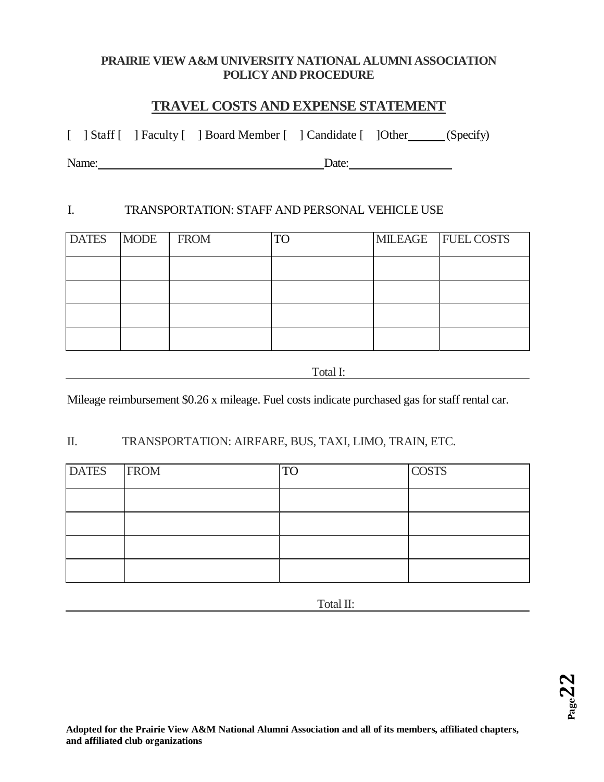## **TRAVEL COSTS AND EXPENSE STATEMENT**

[ ] Staff [ ] Faculty [ ] Board Member [ ] Candidate [ ] Other (Specify)

Name: Date: Date:

#### I. TRANSPORTATION: STAFF AND PERSONAL VEHICLE USE

| <b>DATES</b> | MODE   FROM | <b>TO</b> | MILEAGE FUEL COSTS |
|--------------|-------------|-----------|--------------------|
|              |             |           |                    |
|              |             |           |                    |
|              |             |           |                    |
|              |             |           |                    |

Total I:

Mileage reimbursement \$0.26 x mileage. Fuel costs indicate purchased gas for staff rental car.

#### II. TRANSPORTATION: AIRFARE, BUS, TAXI, LIMO, TRAIN, ETC.

| DATES FROM | <b>TO</b> | <b>COSTS</b> |
|------------|-----------|--------------|
|            |           |              |
|            |           |              |
|            |           |              |
|            |           |              |

Total II: